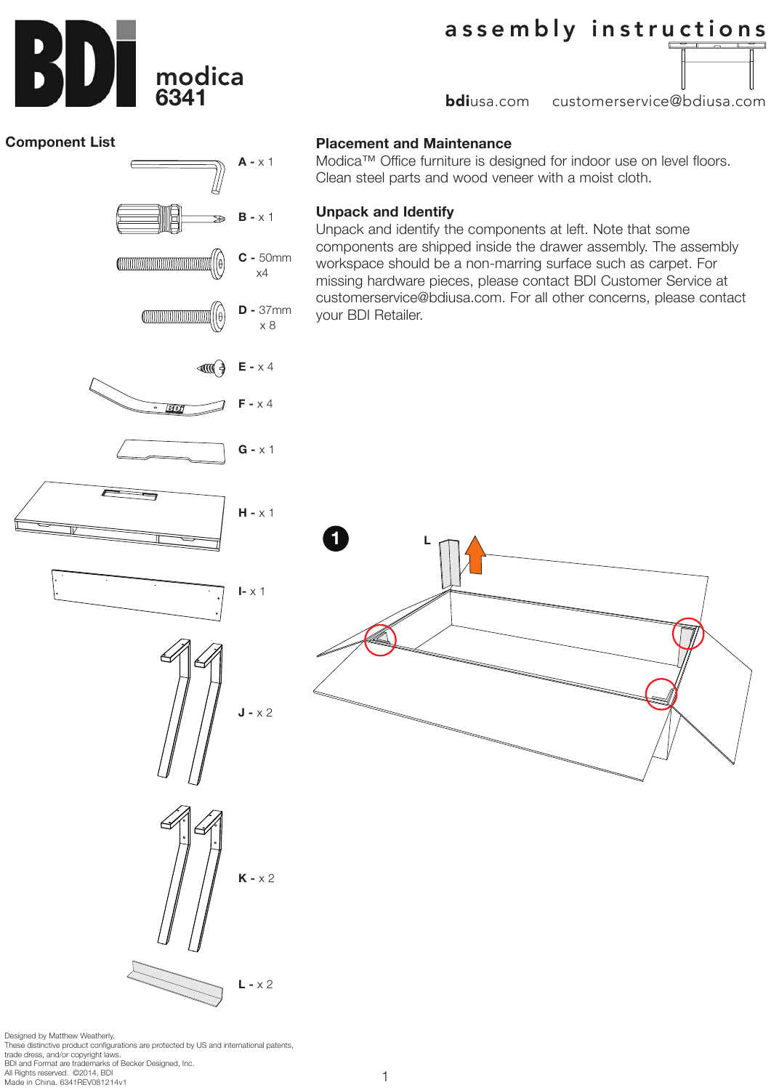

# assembly instructions

**bdi**usa.com customerservice@bdiusa.com

#### **Component List**

# **A -** x 1 **B -** x 1 ÷. **C -** 50mm llθ a x4 **D -** 37mm x 8 ⊲ાભળ⁄ને **E -** x 4 **F -** x 4 छिछन **G -** x 1 **H -** x 1 **1 I-** x 1  $J - x 2$  $K - x 2$ **L -** x 2

Designed by Matthew Weatherly. These distinctive product configurations are protected by US and international patents, trade dress, and/or copyright laws. BDI and Format are trademarks of Becker Designed, Inc. All Rights reserved. ©2014, BDI Made in China. 6341REV081214v1

## **Placement and Maintenance**

**L**

Modica™ Office furniture is designed for indoor use on level floors. Clean steel parts and wood veneer with a moist cloth.

### **Unpack and Identify**

1

Unpack and identify the components at left. Note that some components are shipped inside the drawer assembly. The assembly workspace should be a non-marring surface such as carpet. For missing hardware pieces, please contact BDI Customer Service at customerservice@bdiusa.com. For all other concerns, please contact your BDI Retailer.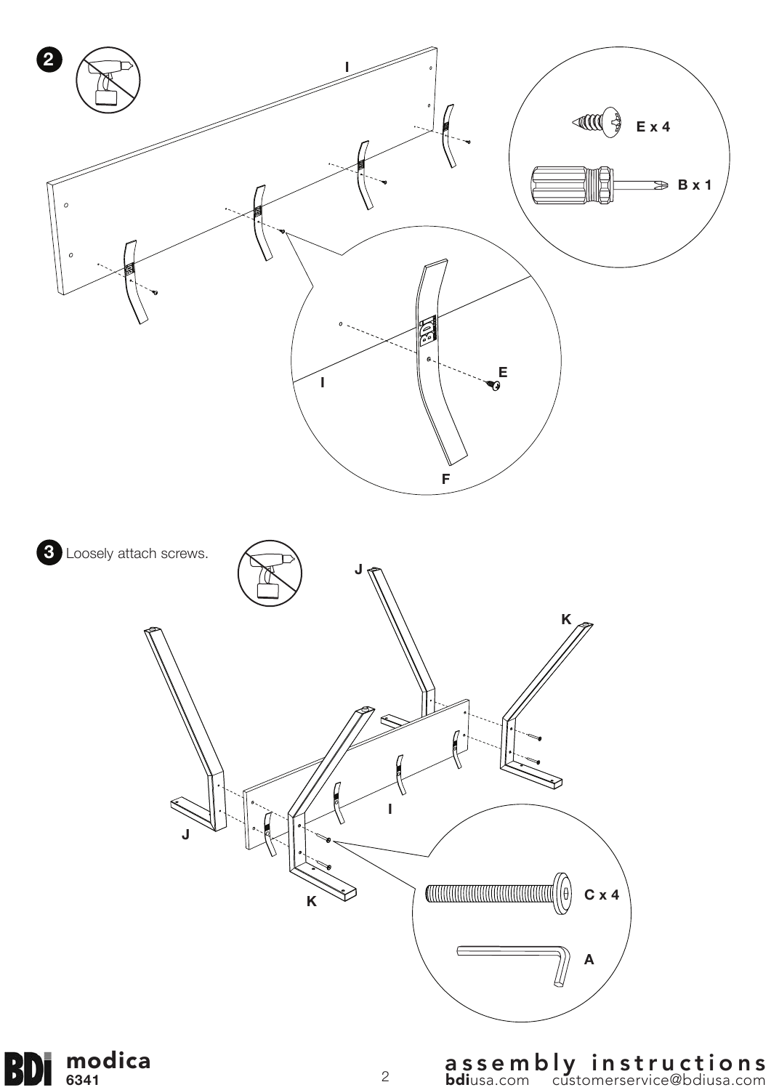

**6341**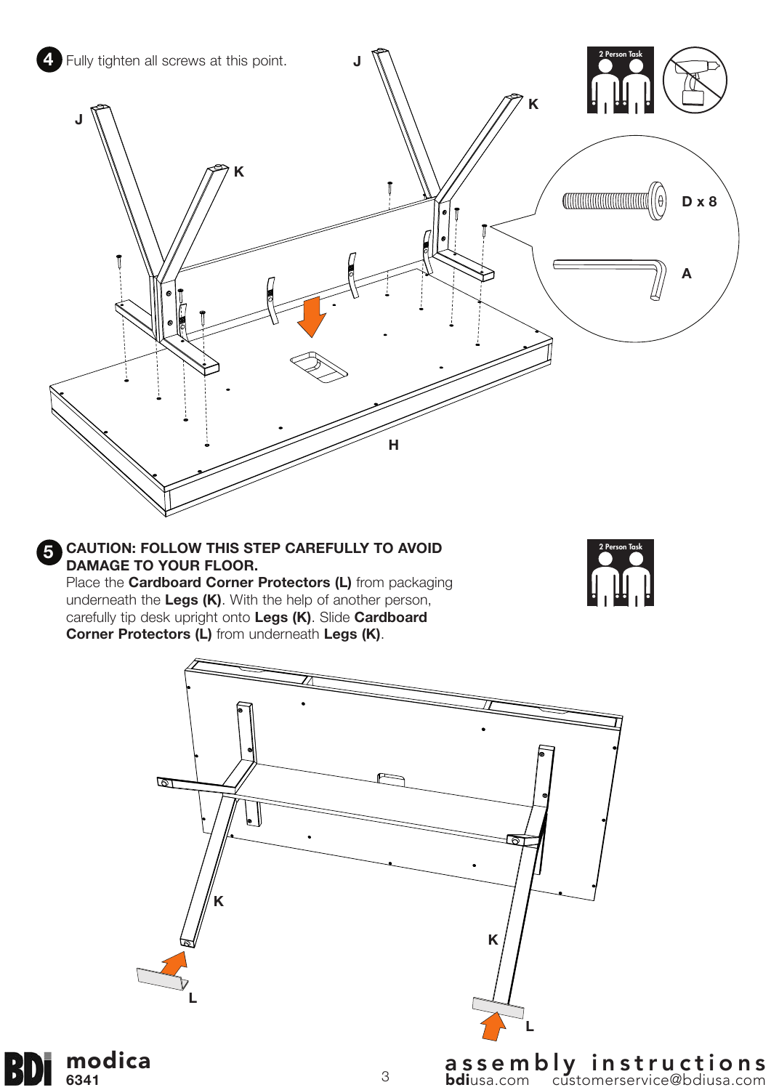



**L**